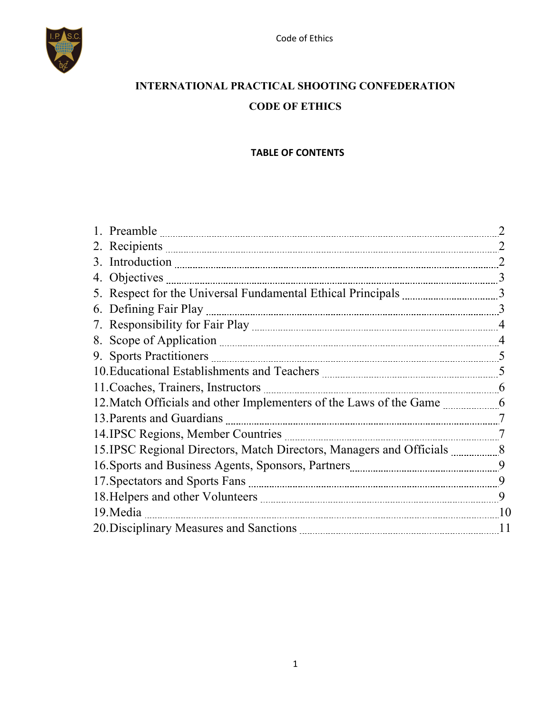

# **INTERNATIONAL PRACTICAL SHOOTING CONFEDERATION CODE OF ETHICS**

#### **TABLE OF CONTENTS**

| 2. Recipients 2000 and 2000 and 2000 and 2000 and 2000 and 2000 and 2000 and 2000 and 2000 and 2000 and 2000 and 2000 and 2000 and 2000 and 2000 and 2000 and 2000 and 2000 and 2000 and 2000 and 2000 and 2000 and 2000 and 2 |    |
|--------------------------------------------------------------------------------------------------------------------------------------------------------------------------------------------------------------------------------|----|
|                                                                                                                                                                                                                                |    |
|                                                                                                                                                                                                                                |    |
|                                                                                                                                                                                                                                |    |
|                                                                                                                                                                                                                                | 3  |
|                                                                                                                                                                                                                                |    |
|                                                                                                                                                                                                                                |    |
|                                                                                                                                                                                                                                |    |
| 10. Educational Establishments and Teachers <b>manually contained</b> and 5                                                                                                                                                    |    |
|                                                                                                                                                                                                                                |    |
| 12. Match Officials and other Implementers of the Laws of the Game _____________6                                                                                                                                              |    |
|                                                                                                                                                                                                                                |    |
|                                                                                                                                                                                                                                |    |
| 15. IPSC Regional Directors, Match Directors, Managers and Officials ___________8                                                                                                                                              |    |
|                                                                                                                                                                                                                                |    |
|                                                                                                                                                                                                                                |    |
|                                                                                                                                                                                                                                | 9  |
|                                                                                                                                                                                                                                |    |
|                                                                                                                                                                                                                                | 11 |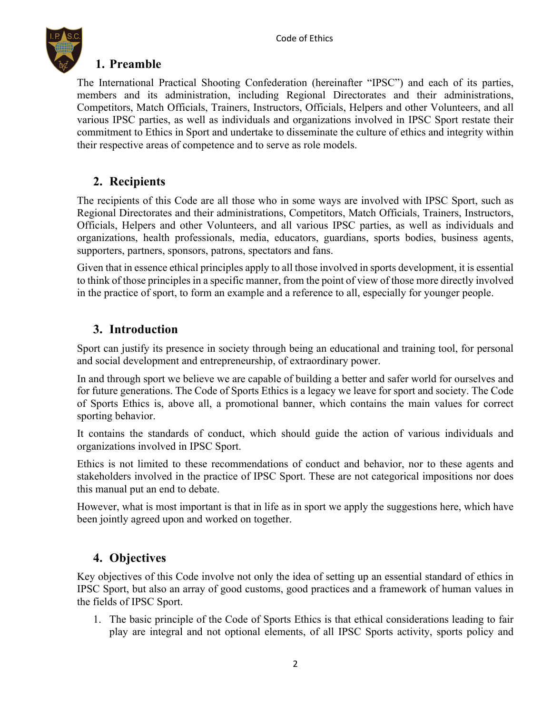

#### **1. Preamble**

The International Practical Shooting Confederation (hereinafter "IPSC") and each of its parties, members and its administration, including Regional Directorates and their administrations, Competitors, Match Officials, Trainers, Instructors, Officials, Helpers and other Volunteers, and all various IPSC parties, as well as individuals and organizations involved in IPSC Sport restate their commitment to Ethics in Sport and undertake to disseminate the culture of ethics and integrity within their respective areas of competence and to serve as role models.

#### **2. Recipients**

The recipients of this Code are all those who in some ways are involved with IPSC Sport, such as Regional Directorates and their administrations, Competitors, Match Officials, Trainers, Instructors, Officials, Helpers and other Volunteers, and all various IPSC parties, as well as individuals and organizations, health professionals, media, educators, guardians, sports bodies, business agents, supporters, partners, sponsors, patrons, spectators and fans.

Given that in essence ethical principles apply to all those involved in sports development, it is essential to think of those principles in a specific manner, from the point of view of those more directly involved in the practice of sport, to form an example and a reference to all, especially for younger people.

#### **3. Introduction**

Sport can justify its presence in society through being an educational and training tool, for personal and social development and entrepreneurship, of extraordinary power.

In and through sport we believe we are capable of building a better and safer world for ourselves and for future generations. The Code of Sports Ethics is a legacy we leave for sport and society. The Code of Sports Ethics is, above all, a promotional banner, which contains the main values for correct sporting behavior.

It contains the standards of conduct, which should guide the action of various individuals and organizations involved in IPSC Sport.

Ethics is not limited to these recommendations of conduct and behavior, nor to these agents and stakeholders involved in the practice of IPSC Sport. These are not categorical impositions nor does this manual put an end to debate.

However, what is most important is that in life as in sport we apply the suggestions here, which have been jointly agreed upon and worked on together.

### **4. Objectives**

Key objectives of this Code involve not only the idea of setting up an essential standard of ethics in IPSC Sport, but also an array of good customs, good practices and a framework of human values in the fields of IPSC Sport.

1. The basic principle of the Code of Sports Ethics is that ethical considerations leading to fair play are integral and not optional elements, of all IPSC Sports activity, sports policy and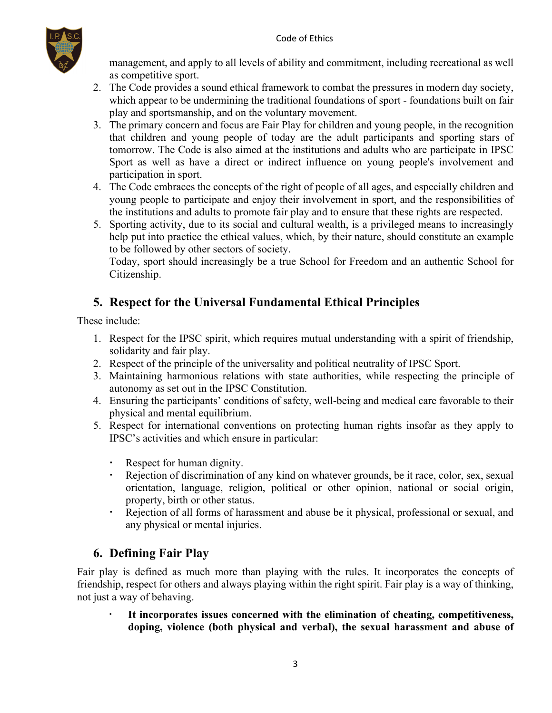

management, and apply to all levels of ability and commitment, including recreational as well as competitive sport.

- 2. The Code provides a sound ethical framework to combat the pressures in modern day society, which appear to be undermining the traditional foundations of sport - foundations built on fair play and sportsmanship, and on the voluntary movement.
- 3. The primary concern and focus are Fair Play for children and young people, in the recognition that children and young people of today are the adult participants and sporting stars of tomorrow. The Code is also aimed at the institutions and adults who are participate in IPSC Sport as well as have a direct or indirect influence on young people's involvement and participation in sport.
- 4. The Code embraces the concepts of the right of people of all ages, and especially children and young people to participate and enjoy their involvement in sport, and the responsibilities of the institutions and adults to promote fair play and to ensure that these rights are respected.
- 5. Sporting activity, due to its social and cultural wealth, is a privileged means to increasingly help put into practice the ethical values, which, by their nature, should constitute an example to be followed by other sectors of society.

Today, sport should increasingly be a true School for Freedom and an authentic School for Citizenship.

## **5. Respect for the Universal Fundamental Ethical Principles**

These include:

- 1. Respect for the IPSC spirit, which requires mutual understanding with a spirit of friendship, solidarity and fair play.
- 2. Respect of the principle of the universality and political neutrality of IPSC Sport.
- 3. Maintaining harmonious relations with state authorities, while respecting the principle of autonomy as set out in the IPSC Constitution.
- 4. Ensuring the participants' conditions of safety, well-being and medical care favorable to their physical and mental equilibrium.
- 5. Respect for international conventions on protecting human rights insofar as they apply to IPSC's activities and which ensure in particular:
	- Respect for human dignity.
	- Rejection of discrimination of any kind on whatever grounds, be it race, color, sex, sexual orientation, language, religion, political or other opinion, national or social origin, property, birth or other status.
	- Rejection of all forms of harassment and abuse be it physical, professional or sexual, and any physical or mental injuries.

## **6. Defining Fair Play**

Fair play is defined as much more than playing with the rules. It incorporates the concepts of friendship, respect for others and always playing within the right spirit. Fair play is a way of thinking, not just a way of behaving.

 **It incorporates issues concerned with the elimination of cheating, competitiveness, doping, violence (both physical and verbal), the sexual harassment and abuse of**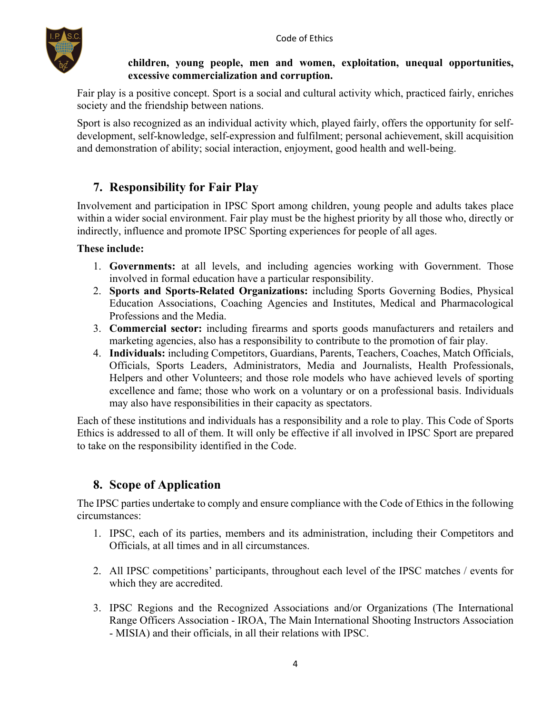

#### **children, young people, men and women, exploitation, unequal opportunities, excessive commercialization and corruption.**

Fair play is a positive concept. Sport is a social and cultural activity which, practiced fairly, enriches society and the friendship between nations.

Sport is also recognized as an individual activity which, played fairly, offers the opportunity for selfdevelopment, self-knowledge, self-expression and fulfilment; personal achievement, skill acquisition and demonstration of ability; social interaction, enjoyment, good health and well-being.

## **7. Responsibility for Fair Play**

Involvement and participation in IPSC Sport among children, young people and adults takes place within a wider social environment. Fair play must be the highest priority by all those who, directly or indirectly, influence and promote IPSC Sporting experiences for people of all ages.

#### **These include:**

- 1. **Governments:** at all levels, and including agencies working with Government. Those involved in formal education have a particular responsibility.
- 2. **Sports and Sports-Related Organizations:** including Sports Governing Bodies, Physical Education Associations, Coaching Agencies and Institutes, Medical and Pharmacological Professions and the Media.
- 3. **Commercial sector:** including firearms and sports goods manufacturers and retailers and marketing agencies, also has a responsibility to contribute to the promotion of fair play.
- 4. **Individuals:** including Competitors, Guardians, Parents, Teachers, Coaches, Match Officials, Officials, Sports Leaders, Administrators, Media and Journalists, Health Professionals, Helpers and other Volunteers; and those role models who have achieved levels of sporting excellence and fame; those who work on a voluntary or on a professional basis. Individuals may also have responsibilities in their capacity as spectators.

Each of these institutions and individuals has a responsibility and a role to play. This Code of Sports Ethics is addressed to all of them. It will only be effective if all involved in IPSC Sport are prepared to take on the responsibility identified in the Code.

### **8. Scope of Application**

The IPSC parties undertake to comply and ensure compliance with the Code of Ethics in the following circumstances:

- 1. IPSC, each of its parties, members and its administration, including their Competitors and Officials, at all times and in all circumstances.
- 2. All IPSC competitions' participants, throughout each level of the IPSC matches / events for which they are accredited.
- 3. IPSC Regions and the Recognized Associations and/or Organizations (The International Range Officers Association - IROA, The Main International Shooting Instructors Association - MISIA) and their officials, in all their relations with IPSC.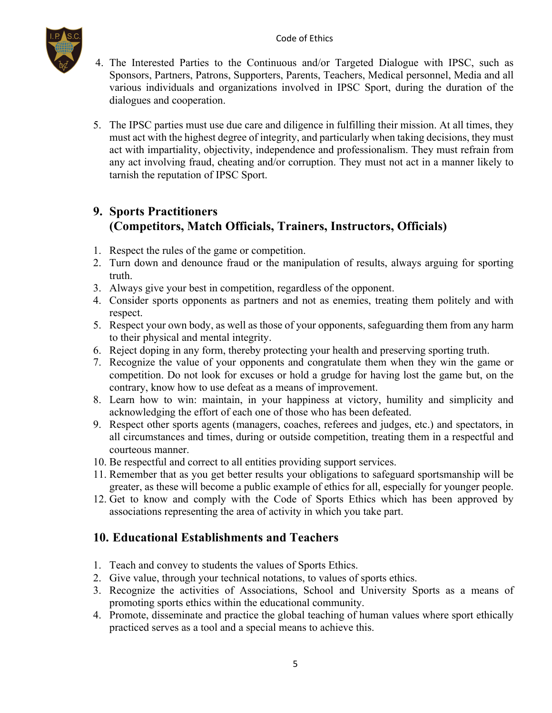

- 4. The Interested Parties to the Continuous and/or Targeted Dialogue with IPSC, such as Sponsors, Partners, Patrons, Supporters, Parents, Teachers, Medical personnel, Media and all various individuals and organizations involved in IPSC Sport, during the duration of the dialogues and cooperation.
- 5. The IPSC parties must use due care and diligence in fulfilling their mission. At all times, they must act with the highest degree of integrity, and particularly when taking decisions, they must act with impartiality, objectivity, independence and professionalism. They must refrain from any act involving fraud, cheating and/or corruption. They must not act in a manner likely to tarnish the reputation of IPSC Sport.

## **9. Sports Practitioners (Competitors, Match Officials, Trainers, Instructors, Officials)**

- 1. Respect the rules of the game or competition.
- 2. Turn down and denounce fraud or the manipulation of results, always arguing for sporting truth.
- 3. Always give your best in competition, regardless of the opponent.
- 4. Consider sports opponents as partners and not as enemies, treating them politely and with respect.
- 5. Respect your own body, as well as those of your opponents, safeguarding them from any harm to their physical and mental integrity.
- 6. Reject doping in any form, thereby protecting your health and preserving sporting truth.
- 7. Recognize the value of your opponents and congratulate them when they win the game or competition. Do not look for excuses or hold a grudge for having lost the game but, on the contrary, know how to use defeat as a means of improvement.
- 8. Learn how to win: maintain, in your happiness at victory, humility and simplicity and acknowledging the effort of each one of those who has been defeated.
- 9. Respect other sports agents (managers, coaches, referees and judges, etc.) and spectators, in all circumstances and times, during or outside competition, treating them in a respectful and courteous manner.
- 10. Be respectful and correct to all entities providing support services.
- 11. Remember that as you get better results your obligations to safeguard sportsmanship will be greater, as these will become a public example of ethics for all, especially for younger people.
- 12. Get to know and comply with the Code of Sports Ethics which has been approved by associations representing the area of activity in which you take part.

#### **10. Educational Establishments and Teachers**

- 1. Teach and convey to students the values of Sports Ethics.
- 2. Give value, through your technical notations, to values of sports ethics.
- 3. Recognize the activities of Associations, School and University Sports as a means of promoting sports ethics within the educational community.
- 4. Promote, disseminate and practice the global teaching of human values where sport ethically practiced serves as a tool and a special means to achieve this.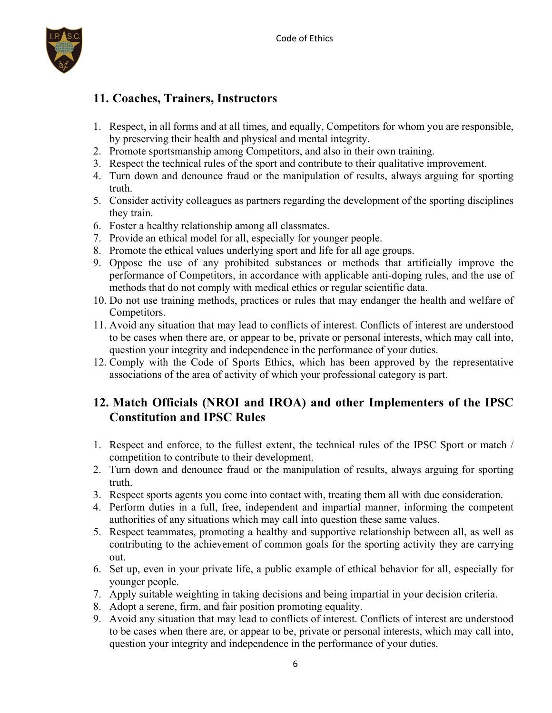

## **11. Coaches, Trainers, Instructors**

- 1. Respect, in all forms and at all times, and equally, Competitors for whom you are responsible, by preserving their health and physical and mental integrity.
- 2. Promote sportsmanship among Competitors, and also in their own training.
- 3. Respect the technical rules of the sport and contribute to their qualitative improvement.
- 4. Turn down and denounce fraud or the manipulation of results, always arguing for sporting truth.
- 5. Consider activity colleagues as partners regarding the development of the sporting disciplines they train.
- 6. Foster a healthy relationship among all classmates.
- 7. Provide an ethical model for all, especially for younger people.
- 8. Promote the ethical values underlying sport and life for all age groups.
- 9. Oppose the use of any prohibited substances or methods that artificially improve the performance of Competitors, in accordance with applicable anti-doping rules, and the use of methods that do not comply with medical ethics or regular scientific data.
- 10. Do not use training methods, practices or rules that may endanger the health and welfare of Competitors.
- 11. Avoid any situation that may lead to conflicts of interest. Conflicts of interest are understood to be cases when there are, or appear to be, private or personal interests, which may call into, question your integrity and independence in the performance of your duties.
- 12. Comply with the Code of Sports Ethics, which has been approved by the representative associations of the area of activity of which your professional category is part.

### **12. Match Officials (NROI and IROA) and other Implementers of the IPSC Constitution and IPSC Rules**

- 1. Respect and enforce, to the fullest extent, the technical rules of the IPSC Sport or match / competition to contribute to their development.
- 2. Turn down and denounce fraud or the manipulation of results, always arguing for sporting truth.
- 3. Respect sports agents you come into contact with, treating them all with due consideration.
- 4. Perform duties in a full, free, independent and impartial manner, informing the competent authorities of any situations which may call into question these same values.
- 5. Respect teammates, promoting a healthy and supportive relationship between all, as well as contributing to the achievement of common goals for the sporting activity they are carrying out.
- 6. Set up, even in your private life, a public example of ethical behavior for all, especially for younger people.
- 7. Apply suitable weighting in taking decisions and being impartial in your decision criteria.
- 8. Adopt a serene, firm, and fair position promoting equality.
- 9. Avoid any situation that may lead to conflicts of interest. Conflicts of interest are understood to be cases when there are, or appear to be, private or personal interests, which may call into, question your integrity and independence in the performance of your duties.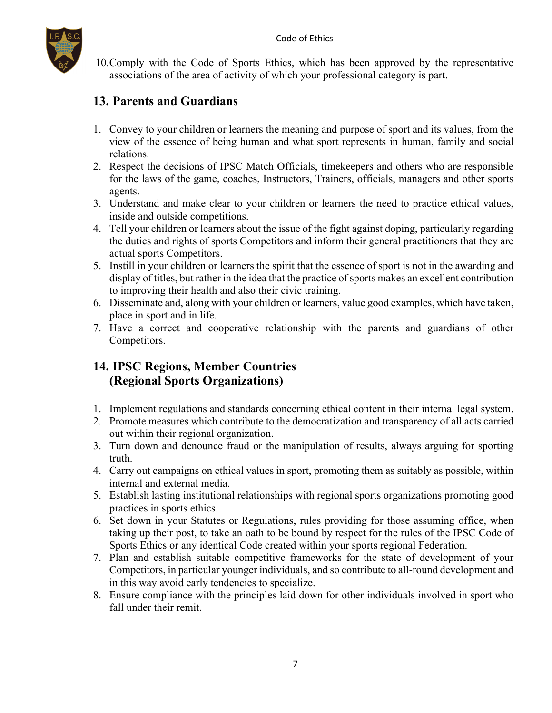

10.Comply with the Code of Sports Ethics, which has been approved by the representative associations of the area of activity of which your professional category is part.

### **13. Parents and Guardians**

- 1. Convey to your children or learners the meaning and purpose of sport and its values, from the view of the essence of being human and what sport represents in human, family and social relations.
- 2. Respect the decisions of IPSC Match Officials, timekeepers and others who are responsible for the laws of the game, coaches, Instructors, Trainers, officials, managers and other sports agents.
- 3. Understand and make clear to your children or learners the need to practice ethical values, inside and outside competitions.
- 4. Tell your children or learners about the issue of the fight against doping, particularly regarding the duties and rights of sports Competitors and inform their general practitioners that they are actual sports Competitors.
- 5. Instill in your children or learners the spirit that the essence of sport is not in the awarding and display of titles, but rather in the idea that the practice of sports makes an excellent contribution to improving their health and also their civic training.
- 6. Disseminate and, along with your children or learners, value good examples, which have taken, place in sport and in life.
- 7. Have a correct and cooperative relationship with the parents and guardians of other Competitors.

## **14. IPSC Regions, Member Countries (Regional Sports Organizations)**

- 1. Implement regulations and standards concerning ethical content in their internal legal system.
- 2. Promote measures which contribute to the democratization and transparency of all acts carried out within their regional organization.
- 3. Turn down and denounce fraud or the manipulation of results, always arguing for sporting truth.
- 4. Carry out campaigns on ethical values in sport, promoting them as suitably as possible, within internal and external media.
- 5. Establish lasting institutional relationships with regional sports organizations promoting good practices in sports ethics.
- 6. Set down in your Statutes or Regulations, rules providing for those assuming office, when taking up their post, to take an oath to be bound by respect for the rules of the IPSC Code of Sports Ethics or any identical Code created within your sports regional Federation.
- 7. Plan and establish suitable competitive frameworks for the state of development of your Competitors, in particular younger individuals, and so contribute to all-round development and in this way avoid early tendencies to specialize.
- 8. Ensure compliance with the principles laid down for other individuals involved in sport who fall under their remit.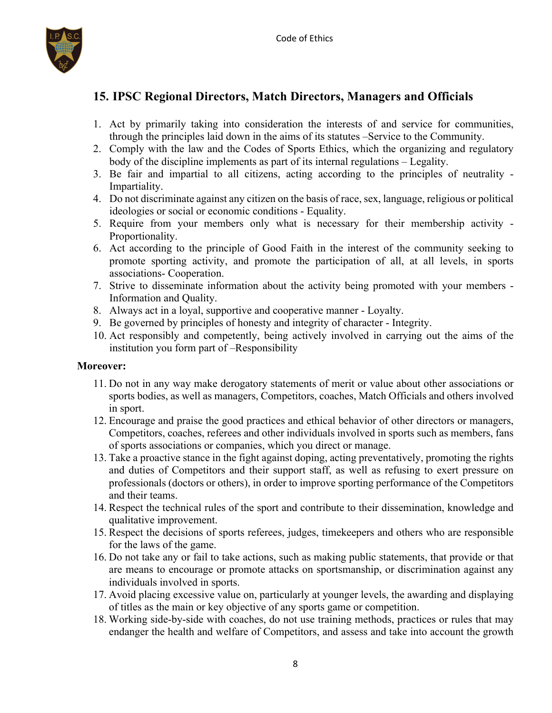

## **15. IPSC Regional Directors, Match Directors, Managers and Officials**

- 1. Act by primarily taking into consideration the interests of and service for communities, through the principles laid down in the aims of its statutes –Service to the Community.
- 2. Comply with the law and the Codes of Sports Ethics, which the organizing and regulatory body of the discipline implements as part of its internal regulations – Legality.
- 3. Be fair and impartial to all citizens, acting according to the principles of neutrality Impartiality.
- 4. Do not discriminate against any citizen on the basis of race, sex, language, religious or political ideologies or social or economic conditions - Equality.
- 5. Require from your members only what is necessary for their membership activity Proportionality.
- 6. Act according to the principle of Good Faith in the interest of the community seeking to promote sporting activity, and promote the participation of all, at all levels, in sports associations- Cooperation.
- 7. Strive to disseminate information about the activity being promoted with your members Information and Quality.
- 8. Always act in a loyal, supportive and cooperative manner Loyalty.
- 9. Be governed by principles of honesty and integrity of character Integrity.
- 10. Act responsibly and competently, being actively involved in carrying out the aims of the institution you form part of –Responsibility

#### **Moreover:**

- 11. Do not in any way make derogatory statements of merit or value about other associations or sports bodies, as well as managers, Competitors, coaches, Match Officials and others involved in sport.
- 12. Encourage and praise the good practices and ethical behavior of other directors or managers, Competitors, coaches, referees and other individuals involved in sports such as members, fans of sports associations or companies, which you direct or manage.
- 13. Take a proactive stance in the fight against doping, acting preventatively, promoting the rights and duties of Competitors and their support staff, as well as refusing to exert pressure on professionals (doctors or others), in order to improve sporting performance of the Competitors and their teams.
- 14. Respect the technical rules of the sport and contribute to their dissemination, knowledge and qualitative improvement.
- 15. Respect the decisions of sports referees, judges, timekeepers and others who are responsible for the laws of the game.
- 16. Do not take any or fail to take actions, such as making public statements, that provide or that are means to encourage or promote attacks on sportsmanship, or discrimination against any individuals involved in sports.
- 17. Avoid placing excessive value on, particularly at younger levels, the awarding and displaying of titles as the main or key objective of any sports game or competition.
- 18. Working side-by-side with coaches, do not use training methods, practices or rules that may endanger the health and welfare of Competitors, and assess and take into account the growth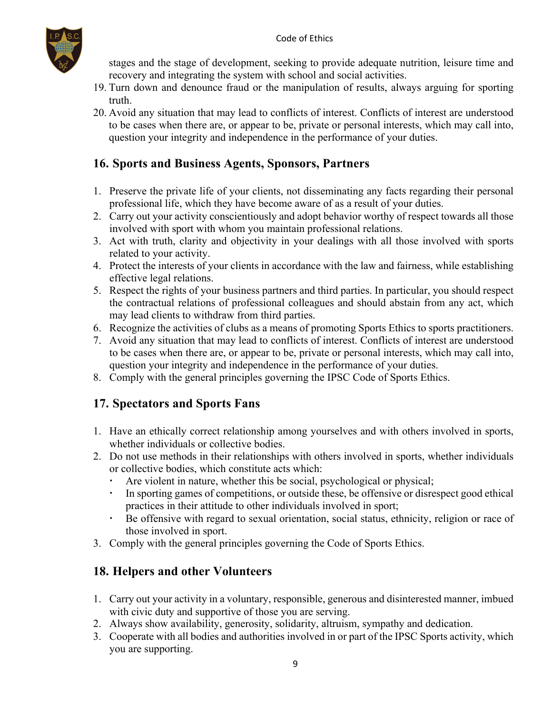

stages and the stage of development, seeking to provide adequate nutrition, leisure time and recovery and integrating the system with school and social activities.

- 19. Turn down and denounce fraud or the manipulation of results, always arguing for sporting truth.
- 20. Avoid any situation that may lead to conflicts of interest. Conflicts of interest are understood to be cases when there are, or appear to be, private or personal interests, which may call into, question your integrity and independence in the performance of your duties.

## **16. Sports and Business Agents, Sponsors, Partners**

- 1. Preserve the private life of your clients, not disseminating any facts regarding their personal professional life, which they have become aware of as a result of your duties.
- 2. Carry out your activity conscientiously and adopt behavior worthy of respect towards all those involved with sport with whom you maintain professional relations.
- 3. Act with truth, clarity and objectivity in your dealings with all those involved with sports related to your activity.
- 4. Protect the interests of your clients in accordance with the law and fairness, while establishing effective legal relations.
- 5. Respect the rights of your business partners and third parties. In particular, you should respect the contractual relations of professional colleagues and should abstain from any act, which may lead clients to withdraw from third parties.
- 6. Recognize the activities of clubs as a means of promoting Sports Ethics to sports practitioners.
- 7. Avoid any situation that may lead to conflicts of interest. Conflicts of interest are understood to be cases when there are, or appear to be, private or personal interests, which may call into, question your integrity and independence in the performance of your duties.
- 8. Comply with the general principles governing the IPSC Code of Sports Ethics.

### **17. Spectators and Sports Fans**

- 1. Have an ethically correct relationship among yourselves and with others involved in sports, whether individuals or collective bodies.
- 2. Do not use methods in their relationships with others involved in sports, whether individuals or collective bodies, which constitute acts which:
	- Are violent in nature, whether this be social, psychological or physical;
	- In sporting games of competitions, or outside these, be offensive or disrespect good ethical practices in their attitude to other individuals involved in sport;
	- Be offensive with regard to sexual orientation, social status, ethnicity, religion or race of those involved in sport.
- 3. Comply with the general principles governing the Code of Sports Ethics.

## **18. Helpers and other Volunteers**

- 1. Carry out your activity in a voluntary, responsible, generous and disinterested manner, imbued with civic duty and supportive of those you are serving.
- 2. Always show availability, generosity, solidarity, altruism, sympathy and dedication.
- 3. Cooperate with all bodies and authorities involved in or part of the IPSC Sports activity, which you are supporting.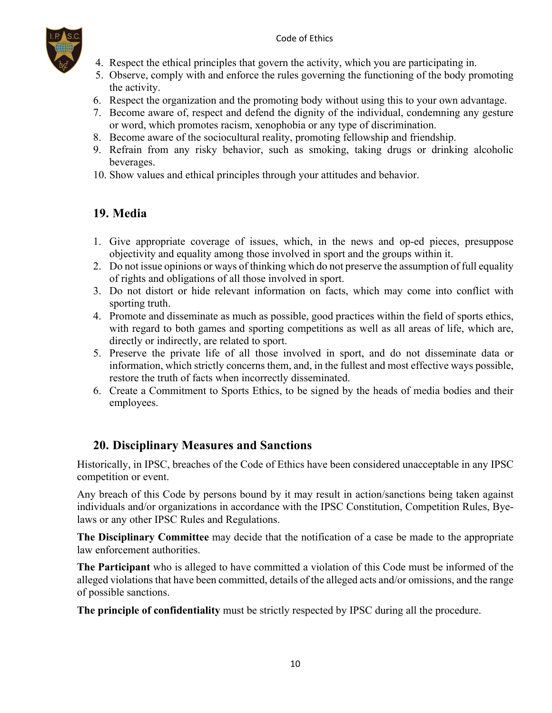#### Code of Ethics



- 4. Respect the ethical principles that govern the activity, which you are participating in.
- 5. Observe, comply with and enforce the rules governing the functioning of the body promoting the activity.
- 6. Respect the organization and the promoting body without using this to your own advantage.
- 7. Become aware of, respect and defend the dignity of the individual, condemning any gesture or word, which promotes racism, xenophobia or any type of discrimination.
- 8. Become aware of the sociocultural reality, promoting fellowship and friendship.
- 9. Refrain from any risky behavior, such as smoking, taking drugs or drinking alcoholic beverages.
- 10. Show values and ethical principles through your attitudes and behavior.

## **19. Media**

- 1. Give appropriate coverage of issues, which, in the news and op-ed pieces, presuppose objectivity and equality among those involved in sport and the groups within it.
- 2. Do not issue opinions or ways of thinking which do not preserve the assumption of full equality of rights and obligations of all those involved in sport.
- 3. Do not distort or hide relevant information on facts, which may come into conflict with sporting truth.
- 4. Promote and disseminate as much as possible, good practices within the field of sports ethics, with regard to both games and sporting competitions as well as all areas of life, which are, directly or indirectly, are related to sport.
- 5. Preserve the private life of all those involved in sport, and do not disseminate data or information, which strictly concerns them, and, in the fullest and most effective ways possible, restore the truth of facts when incorrectly disseminated.
- 6. Create a Commitment to Sports Ethics, to be signed by the heads of media bodies and their employees.

### **20. Disciplinary Measures and Sanctions**

Historically, in IPSC, breaches of the Code of Ethics have been considered unacceptable in any IPSC competition or event.

Any breach of this Code by persons bound by it may result in action/sanctions being taken against individuals and/or organizations in accordance with the IPSC Constitution, Competition Rules, Byelaws or any other IPSC Rules and Regulations.

**The Disciplinary Committee** may decide that the notification of a case be made to the appropriate law enforcement authorities.

**The Participant** who is alleged to have committed a violation of this Code must be informed of the alleged violations that have been committed, details of the alleged acts and/or omissions, and the range of possible sanctions.

**The principle of confidentiality** must be strictly respected by IPSC during all the procedure.